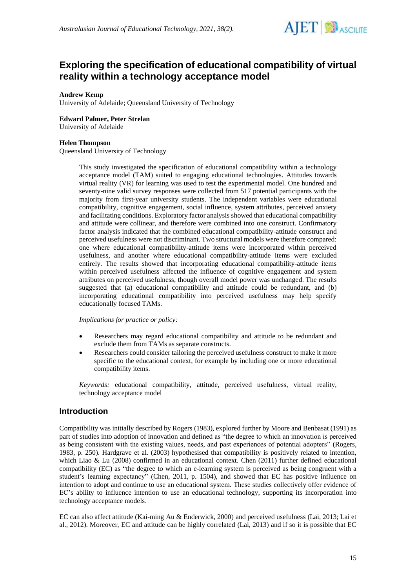

# **Exploring the specification of educational compatibility of virtual reality within a technology acceptance model**

#### **Andrew Kemp**

University of Adelaide; Queensland University of Technology

#### **Edward Palmer, Peter Strelan**

University of Adelaide

#### **Helen Thompson**

Queensland University of Technology

This study investigated the specification of educational compatibility within a technology acceptance model (TAM) suited to engaging educational technologies. Attitudes towards virtual reality (VR) for learning was used to test the experimental model. One hundred and seventy-nine valid survey responses were collected from 517 potential participants with the majority from first-year university students. The independent variables were educational compatibility, cognitive engagement, social influence, system attributes, perceived anxiety and facilitating conditions. Exploratory factor analysis showed that educational compatibility and attitude were collinear, and therefore were combined into one construct. Confirmatory factor analysis indicated that the combined educational compatibility-attitude construct and perceived usefulness were not discriminant. Two structural models were therefore compared: one where educational compatibility-attitude items were incorporated within perceived usefulness, and another where educational compatibility-attitude items were excluded entirely. The results showed that incorporating educational compatibility-attitude items within perceived usefulness affected the influence of cognitive engagement and system attributes on perceived usefulness, though overall model power was unchanged. The results suggested that (a) educational compatibility and attitude could be redundant, and (b) incorporating educational compatibility into perceived usefulness may help specify educationally focused TAMs.

#### *Implications for practice or policy:*

- Researchers may regard educational compatibility and attitude to be redundant and exclude them from TAMs as separate constructs.
- Researchers could consider tailoring the perceived usefulness construct to make it more specific to the educational context, for example by including one or more educational compatibility items.

*Keywords:* educational compatibility, attitude, perceived usefulness, virtual reality, technology acceptance model

### **Introduction**

Compatibility was initially described by Rogers (1983), explored further by Moore and Benbasat (1991) as part of studies into adoption of innovation and defined as "the degree to which an innovation is perceived as being consistent with the existing values, needs, and past experiences of potential adopters" (Rogers, 1983, p. 250). Hardgrave et al. (2003) hypothesised that compatibility is positively related to intention, which Liao & Lu (2008) confirmed in an educational context. Chen (2011) further defined educational compatibility (EC) as "the degree to which an e-learning system is perceived as being congruent with a student's learning expectancy" (Chen, 2011, p. 1504), and showed that EC has positive influence on intention to adopt and continue to use an educational system. These studies collectively offer evidence of EC's ability to influence intention to use an educational technology, supporting its incorporation into technology acceptance models.

EC can also affect attitude (Kai-ming Au & Enderwick, 2000) and perceived usefulness (Lai, 2013; Lai et al., 2012). Moreover, EC and attitude can be highly correlated (Lai, 2013) and if so it is possible that EC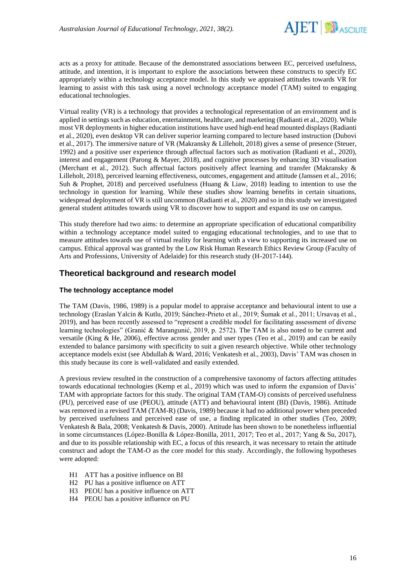

acts as a proxy for attitude. Because of the demonstrated associations between EC, perceived usefulness, attitude, and intention, it is important to explore the associations between these constructs to specify EC appropriately within a technology acceptance model. In this study we appraised attitudes towards VR for learning to assist with this task using a novel technology acceptance model (TAM) suited to engaging educational technologies.

Virtual reality (VR) is a technology that provides a technological representation of an environment and is applied in settings such as education, entertainment, healthcare, and marketing (Radianti et al., 2020). While most VR deployments in higher education institutions have used high-end head mounted displays (Radianti et al., 2020), even desktop VR can deliver superior learning compared to lecture based instruction (Dubovi et al., 2017). The immersive nature of VR (Makransky & Lilleholt, 2018) gives a sense of presence (Steuer, 1992) and a positive user experience through affectual factors such as motivation (Radianti et al., 2020), interest and engagement (Parong & Mayer, 2018), and cognitive processes by enhancing 3D visualisation (Merchant et al., 2012). Such affectual factors positively affect learning and transfer (Makransky & Lilleholt, 2018), perceived learning effectiveness, outcomes, engagement and attitude (Janssen et al., 2016; Suh & Prophet, 2018) and perceived usefulness (Huang & Liaw, 2018) leading to intention to use the technology in question for learning. While these studies show learning benefits in certain situations, widespread deployment of VR is still uncommon (Radianti et al., 2020) and so in this study we investigated general student attitudes towards using VR to discover how to support and expand its use on campus.

This study therefore had two aims: to determine an appropriate specification of educational compatibility within a technology acceptance model suited to engaging educational technologies, and to use that to measure attitudes towards use of virtual reality for learning with a view to supporting its increased use on campus. Ethical approval was granted by the Low Risk Human Research Ethics Review Group (Faculty of Arts and Professions, University of Adelaide) for this research study (H-2017-144).

### **Theoretical background and research model**

#### **The technology acceptance model**

The TAM (Davis, 1986, 1989) is a popular model to appraise acceptance and behavioural intent to use a technology (Eraslan Yalcin & Kutlu, 2019; Sánchez-Prieto et al., 2019; Šumak et al., 2011; Ursavaş et al., 2019), and has been recently assessed to "represent a credible model for facilitating assessment of diverse learning technologies" (Granić & Marangunić, 2019, p. 2572). The TAM is also noted to be current and versatile (King & He, 2006), effective across gender and user types (Teo et al., 2019) and can be easily extended to balance parsimony with specificity to suit a given research objective. While other technology acceptance models exist (see Abdullah & Ward, 2016; Venkatesh et al., 2003), Davis' TAM was chosen in this study because its core is well-validated and easily extended.

A previous review resulted in the construction of a comprehensive taxonomy of factors affecting attitudes towards educational technologies (Kemp et al., 2019) which was used to inform the expansion of Davis' TAM with appropriate factors for this study. The original TAM (TAM-O) consists of perceived usefulness (PU), perceived ease of use (PEOU), attitude (ATT) and behavioural intent (BI) (Davis, 1986). Attitude was removed in a revised TAM (TAM-R) (Davis, 1989) because it had no additional power when preceded by perceived usefulness and perceived ease of use, a finding replicated in other studies (Teo, 2009; Venkatesh & Bala, 2008; Venkatesh & Davis, 2000). Attitude has been shown to be nonetheless influential in some circumstances (López-Bonilla & López-Bonilla, 2011, 2017; Teo et al., 2017; Yang & Su, 2017), and due to its possible relationship with EC, a focus of this research, it was necessary to retain the attitude construct and adopt the TAM-O as the core model for this study. Accordingly, the following hypotheses were adopted:

- H1 ATT has a positive influence on BI
- H2 PU has a positive influence on ATT
- H3 PEOU has a positive influence on ATT
- H4 PEOU has a positive influence on PU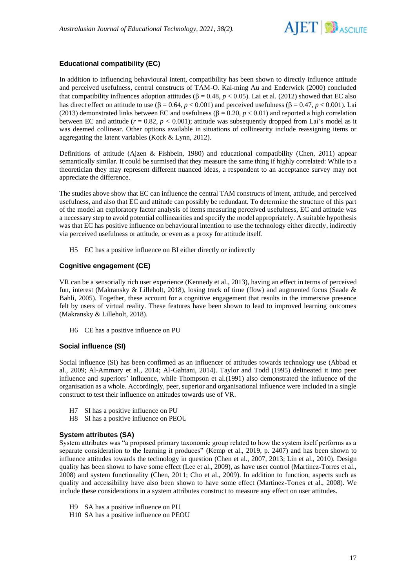

### **Educational compatibility (EC)**

In addition to influencing behavioural intent, compatibility has been shown to directly influence attitude and perceived usefulness, central constructs of TAM-O. Kai-ming Au and Enderwick (2000) concluded that compatibility influences adoption attitudes ( $\beta = 0.48$ ,  $p < 0.05$ ). Lai et al. (2012) showed that EC also has direct effect on attitude to use  $(\beta = 0.64, p < 0.001)$  and perceived usefulness  $(\beta = 0.47, p < 0.001)$ . Lai (2013) demonstrated links between EC and usefulness  $( \beta = 0.20, p < 0.01)$  and reported a high correlation between EC and attitude  $(r = 0.82, p < 0.001)$ ; attitude was subsequently dropped from Lai's model as it was deemed collinear. Other options available in situations of collinearity include reassigning items or aggregating the latent variables (Kock & Lynn, 2012).

Definitions of attitude (Ajzen & Fishbein, 1980) and educational compatibility (Chen, 2011) appear semantically similar. It could be surmised that they measure the same thing if highly correlated: While to a theoretician they may represent different nuanced ideas, a respondent to an acceptance survey may not appreciate the difference.

The studies above show that EC can influence the central TAM constructs of intent, attitude, and perceived usefulness, and also that EC and attitude can possibly be redundant. To determine the structure of this part of the model an exploratory factor analysis of items measuring perceived usefulness, EC and attitude was a necessary step to avoid potential collinearities and specify the model appropriately. A suitable hypothesis was that EC has positive influence on behavioural intention to use the technology either directly, indirectly via perceived usefulness or attitude, or even as a proxy for attitude itself.

H5 EC has a positive influence on BI either directly or indirectly

#### **Cognitive engagement (CE)**

VR can be a sensorially rich user experience (Kennedy et al., 2013), having an effect in terms of perceived fun, interest (Makransky & Lilleholt, 2018), losing track of time (flow) and augmented focus (Saade & Bahli, 2005). Together, these account for a cognitive engagement that results in the immersive presence felt by users of virtual reality. These features have been shown to lead to improved learning outcomes (Makransky & Lilleholt, 2018).

H6 CE has a positive influence on PU

#### **Social influence (SI)**

Social influence (SI) has been confirmed as an influencer of attitudes towards technology use (Abbad et al., 2009; Al-Ammary et al., 2014; Al-Gahtani, 2014). Taylor and Todd (1995) delineated it into peer influence and superiors' influence, while Thompson et al.(1991) also demonstrated the influence of the organisation as a whole. Accordingly, peer, superior and organisational influence were included in a single construct to test their influence on attitudes towards use of VR.

- H7 SI has a positive influence on PU
- H8 SI has a positive influence on PEOU

#### **System attributes (SA)**

System attributes was "a proposed primary taxonomic group related to how the system itself performs as a separate consideration to the learning it produces" (Kemp et al., 2019, p. 2407) and has been shown to influence attitudes towards the technology in question (Chen et al., 2007, 2013; Lin et al., 2010). Design quality has been shown to have some effect (Lee et al., 2009), as have user control (Martinez-Torres et al., 2008) and system functionality (Chen, 2011; Cho et al., 2009). In addition to function, aspects such as quality and accessibility have also been shown to have some effect (Martinez-Torres et al., 2008). We include these considerations in a system attributes construct to measure any effect on user attitudes.

- H9 SA has a positive influence on PU
- H10 SA has a positive influence on PEOU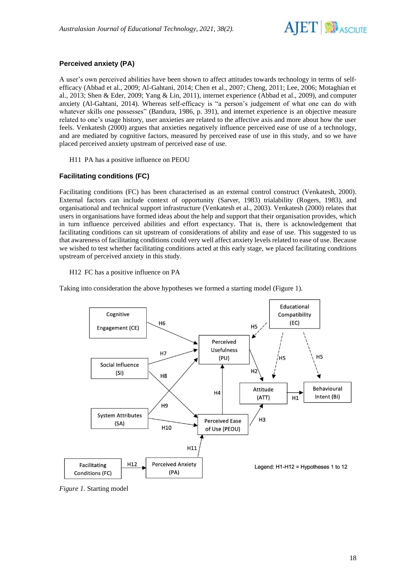

### **Perceived anxiety (PA)**

A user's own perceived abilities have been shown to affect attitudes towards technology in terms of selfefficacy (Abbad et al., 2009; Al-Gahtani, 2014; Chen et al., 2007; Cheng, 2011; Lee, 2006; Motaghian et al., 2013; Shen & Eder, 2009; Yang & Lin, 2011), internet experience (Abbad et al., 2009), and computer anxiety (Al-Gahtani, 2014). Whereas self-efficacy is "a person's judgement of what one can do with whatever skills one possesses" (Bandura, 1986, p. 391), and internet experience is an objective measure related to one's usage history, user anxieties are related to the affective axis and more about how the user feels. Venkatesh (2000) argues that anxieties negatively influence perceived ease of use of a technology, and are mediated by cognitive factors, measured by perceived ease of use in this study, and so we have placed perceived anxiety upstream of perceived ease of use.

H11 PA has a positive influence on PEOU

#### **Facilitating conditions (FC)**

Facilitating conditions (FC) has been characterised as an external control construct (Venkatesh, 2000). External factors can include context of opportunity (Sarver, 1983) trialability (Rogers, 1983), and organisational and technical support infrastructure (Venkatesh et al., 2003). Venkatesh (2000) relates that users in organisations have formed ideas about the help and support that their organisation provides, which in turn influence perceived abilities and effort expectancy. That is, there is acknowledgement that facilitating conditions can sit upstream of considerations of ability and ease of use. This suggested to us that awareness of facilitating conditions could very well affect anxiety levels related to ease of use. Because we wished to test whether facilitating conditions acted at this early stage, we placed facilitating conditions upstream of perceived anxiety in this study.

#### H12 FC has a positive influence on PA

Taking into consideration the above hypotheses we formed a starting model (Figure 1).



*Figure 1.* Starting model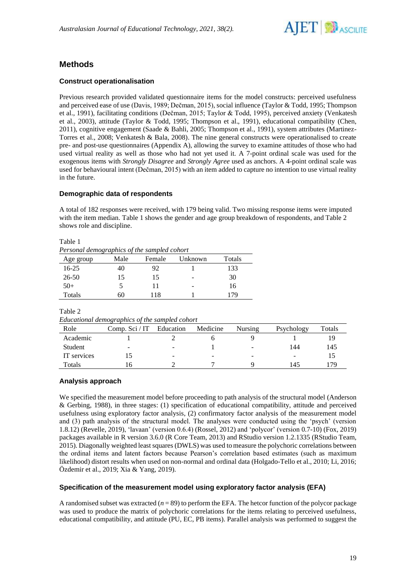

## **Methods**

#### **Construct operationalisation**

Previous research provided validated questionnaire items for the model constructs: perceived usefulness and perceived ease of use (Davis, 1989; Dečman, 2015), social influence (Taylor & Todd, 1995; Thompson et al., 1991), facilitating conditions (Dečman, 2015; Taylor & Todd, 1995), perceived anxiety (Venkatesh et al., 2003), attitude (Taylor & Todd, 1995; Thompson et al., 1991), educational compatibility (Chen, 2011), cognitive engagement (Saade & Bahli, 2005; Thompson et al., 1991), system attributes (Martinez-Torres et al., 2008; Venkatesh & Bala, 2008). The nine general constructs were operationalised to create pre- and post-use questionnaires (Appendix A), allowing the survey to examine attitudes of those who had used virtual reality as well as those who had not yet used it. A 7-point ordinal scale was used for the exogenous items with *Strongly Disagree* and *Strongly Agree* used as anchors. A 4-point ordinal scale was used for behavioural intent (Dečman, 2015) with an item added to capture no intention to use virtual reality in the future.

#### **Demographic data of respondents**

A total of 182 responses were received, with 179 being valid. Two missing response items were imputed with the item median. Table 1 shows the gender and age group breakdown of respondents, and Table 2 shows role and discipline.

|--|--|

*Personal demographics of the sampled cohort*

| Age group | Male          | Female | Unknown | Totals |
|-----------|---------------|--------|---------|--------|
| $16 - 25$ | 40            | 92     |         | 133    |
| 26-50     | 15            | 15.    | -       | 30     |
| $50+$     | $\mathcal{D}$ |        | -       | 16     |
| Totals    | 60            | 118    |         | 79     |

Table 2

*Educational demographics of the sampled cohort*

| Role        | Comp. $\text{Sci}/\text{IT}$ | Education                | Medicine | Nursing | Psychology | Totals |
|-------------|------------------------------|--------------------------|----------|---------|------------|--------|
| Academic    |                              |                          |          |         |            |        |
| Student     | ۰                            | $\overline{\phantom{a}}$ |          | -       | 144        | 145    |
| IT services |                              | $\overline{\phantom{a}}$ | -        | -       | -          |        |
| Totals      | h                            |                          |          |         | 145        | 79     |

### **Analysis approach**

We specified the measurement model before proceeding to path analysis of the structural model (Anderson & Gerbing, 1988), in three stages: (1) specification of educational compatibility, attitude and perceived usefulness using exploratory factor analysis, (2) confirmatory factor analysis of the measurement model and (3) path analysis of the structural model. The analyses were conducted using the 'psych' (version 1.8.12) (Revelle, 2019), 'lavaan' (version 0.6.4) (Rossel, 2012) and 'polycor' (version 0.7-10) (Fox, 2019) packages available in R version 3.6.0 (R Core Team, 2013) and RStudio version 1.2.1335 (RStudio Team, 2015). Diagonally weighted least squares (DWLS) was used to measure the polychoric correlations between the ordinal items and latent factors because Pearson's correlation based estimates (such as maximum likelihood) distort results when used on non-normal and ordinal data (Holgado-Tello et al., 2010; Li, 2016; Özdemir et al., 2019; Xia & Yang, 2019).

#### **Specification of the measurement model using exploratory factor analysis (EFA)**

A randomised subset was extracted  $(n = 89)$  to perform the EFA. The hetcor function of the polycor package was used to produce the matrix of polychoric correlations for the items relating to perceived usefulness, educational compatibility, and attitude (PU, EC, PB items). Parallel analysis was performed to suggest the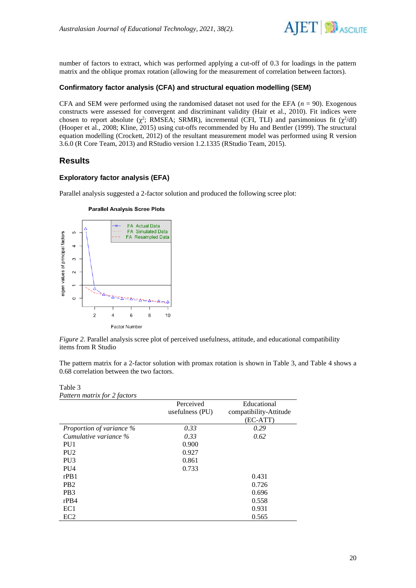

number of factors to extract, which was performed applying a cut-off of 0.3 for loadings in the pattern matrix and the oblique promax rotation (allowing for the measurement of correlation between factors).

#### **Confirmatory factor analysis (CFA) and structural equation modelling (SEM)**

CFA and SEM were performed using the randomised dataset not used for the EFA  $(n = 90)$ . Exogenous constructs were assessed for convergent and discriminant validity (Hair et al., 2010). Fit indices were chosen to report absolute ( $\chi^2$ ; RMSEA; SRMR), incremental (CFI, TLI) and parsimonious fit ( $\chi^2$ /df) (Hooper et al., 2008; Kline, 2015) using cut-offs recommended by Hu and Bentler (1999). The structural equation modelling (Crockett, 2012) of the resultant measurement model was performed using R version 3.6.0 (R Core Team, 2013) and RStudio version 1.2.1335 (RStudio Team, 2015).

### **Results**

#### **Exploratory factor analysis (EFA)**

Parallel analysis suggested a 2-factor solution and produced the following scree plot:

#### **Parallel Analysis Scree Plots**



*Figure 2.* Parallel analysis scree plot of perceived usefulness, attitude, and educational compatibility items from R Studio

The pattern matrix for a 2-factor solution with promax rotation is shown in Table 3, and Table 4 shows a 0.68 correlation between the two factors.

#### Table 3 *Pattern matrix for 2 factors*

|                          | Perceived<br>usefulness (PU) | Educational<br>compatibility-Attitude |
|--------------------------|------------------------------|---------------------------------------|
|                          |                              | $(EC-ATT)$                            |
| Proportion of variance % | 0.33                         | 0.29                                  |
| Cumulative variance %    | 0.33                         | 0.62                                  |
| PU1                      | 0.900                        |                                       |
| PU <sub>2</sub>          | 0.927                        |                                       |
| PU <sub>3</sub>          | 0.861                        |                                       |
| <b>PU4</b>               | 0.733                        |                                       |
| rPB1                     |                              | 0.431                                 |
| P <sub>B</sub> 2         |                              | 0.726                                 |
| PB <sub>3</sub>          |                              | 0.696                                 |
| $r$ PB4                  |                              | 0.558                                 |
| EC1                      |                              | 0.931                                 |
| EC2                      |                              | 0.565                                 |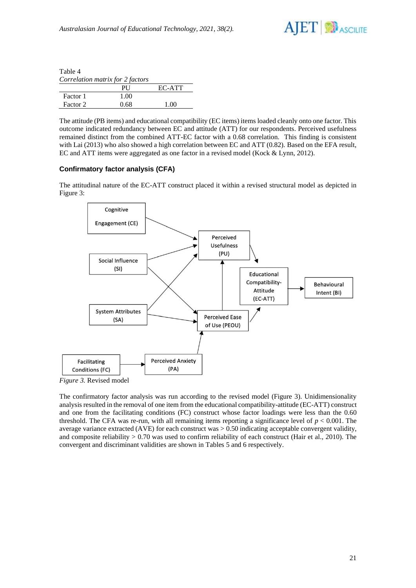

| Table 4                          |      |        |
|----------------------------------|------|--------|
| Correlation matrix for 2 factors |      |        |
|                                  | РH   | EC-ATT |
| Factor 1                         | 1.00 |        |
| Factor 2                         | 0.68 | 1 OO   |

The attitude (PB items) and educational compatibility (EC items) items loaded cleanly onto one factor. This outcome indicated redundancy between EC and attitude (ATT) for our respondents. Perceived usefulness remained distinct from the combined ATT-EC factor with a 0.68 correlation. This finding is consistent with Lai (2013) who also showed a high correlation between EC and ATT (0.82). Based on the EFA result, EC and ATT items were aggregated as one factor in a revised model (Kock & Lynn, 2012).

#### **Confirmatory factor analysis (CFA)**

The attitudinal nature of the EC-ATT construct placed it within a revised structural model as depicted in Figure 3:



*Figure 3.* Revised model

The confirmatory factor analysis was run according to the revised model (Figure 3). Unidimensionality analysis resulted in the removal of one item from the educational compatibility-attitude (EC-ATT) construct and one from the facilitating conditions (FC) construct whose factor loadings were less than the 0.60 threshold. The CFA was re-run, with all remaining items reporting a significance level of  $p < 0.001$ . The average variance extracted (AVE) for each construct was > 0.50 indicating acceptable convergent validity, and composite reliability  $> 0.70$  was used to confirm reliability of each construct (Hair et al., 2010). The convergent and discriminant validities are shown in Tables 5 and 6 respectively.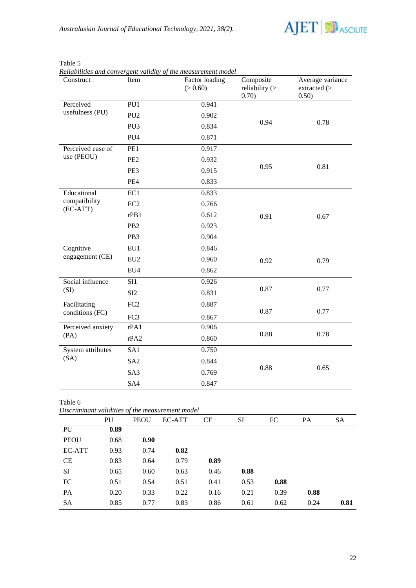

| Construct                   | Item             | Factor loading<br>(> 0.60) | Composite<br>reliability $($<br>0.70) | Average variance<br>extracted (><br>0.50) |
|-----------------------------|------------------|----------------------------|---------------------------------------|-------------------------------------------|
| Perceived                   | PU1              | 0.941                      |                                       |                                           |
| usefulness (PU)             | PU <sub>2</sub>  | 0.902                      |                                       |                                           |
|                             | PU <sub>3</sub>  | 0.834                      | 0.94                                  | 0.78                                      |
|                             | PU <sub>4</sub>  | 0.871                      |                                       |                                           |
| Perceived ease of           | PE1              | 0.917                      |                                       |                                           |
| use (PEOU)                  | PE <sub>2</sub>  | 0.932                      |                                       |                                           |
|                             | PE3              | 0.915                      | 0.95                                  | 0.81                                      |
|                             | PE4              | 0.833                      |                                       |                                           |
| Educational                 | EC1              | 0.833                      |                                       |                                           |
| compatibility<br>$(EC-ATT)$ | EC <sub>2</sub>  | 0.766                      |                                       | 0.67                                      |
|                             | rPB1             | 0.612                      | 0.91                                  |                                           |
|                             | PB <sub>2</sub>  | 0.923                      |                                       |                                           |
|                             | PB <sub>3</sub>  | 0.904                      |                                       |                                           |
| Cognitive                   | EU1              | 0.846                      |                                       |                                           |
| engagement (CE)             | EU <sub>2</sub>  | 0.960                      | 0.92                                  | 0.79                                      |
|                             | EU4              | 0.862                      |                                       |                                           |
| Social influence            | SI1              | 0.926                      |                                       |                                           |
| (SI)                        | SI2              | 0.831                      | 0.87                                  | 0.77                                      |
| Facilitating                | $\overline{FC2}$ | 0.887                      |                                       |                                           |
| conditions (FC)             | FC3              | 0.867                      | 0.87                                  | 0.77                                      |
| Perceived anxiety           | rPA1             | 0.906                      |                                       |                                           |
| (PA)                        | rPA2             | 0.860                      | 0.88                                  | 0.78                                      |
| System attributes           | SA1              | 0.750                      |                                       |                                           |
| (SA)                        | SA <sub>2</sub>  | 0.844                      |                                       |                                           |
|                             | SA3              | 0.769                      | 0.88                                  | 0.65                                      |
|                             | SA4              | 0.847                      |                                       |                                           |

Table 5

*Reliabilities and convergent validity of the measurement model*

Table 6

*Discriminant validities of the measurement model*

|             | PU   | <b>PEOU</b> | EC-ATT | CE   | SI   | FC   | PA   | <b>SA</b> |
|-------------|------|-------------|--------|------|------|------|------|-----------|
| PU          | 0.89 |             |        |      |      |      |      |           |
| <b>PEOU</b> | 0.68 | 0.90        |        |      |      |      |      |           |
| EC-ATT      | 0.93 | 0.74        | 0.82   |      |      |      |      |           |
| <b>CE</b>   | 0.83 | 0.64        | 0.79   | 0.89 |      |      |      |           |
| SI          | 0.65 | 0.60        | 0.63   | 0.46 | 0.88 |      |      |           |
| FC          | 0.51 | 0.54        | 0.51   | 0.41 | 0.53 | 0.88 |      |           |
| PA          | 0.20 | 0.33        | 0.22   | 0.16 | 0.21 | 0.39 | 0.88 |           |
| <b>SA</b>   | 0.85 | 0.77        | 0.83   | 0.86 | 0.61 | 0.62 | 0.24 | 0.81      |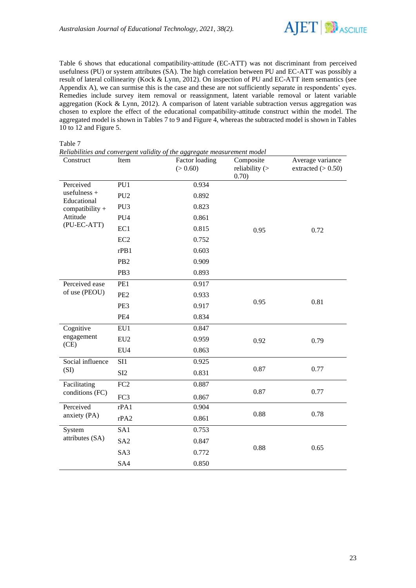

Table 6 shows that educational compatibility-attitude (EC-ATT) was not discriminant from perceived usefulness (PU) or system attributes (SA). The high correlation between PU and EC-ATT was possibly a result of lateral collinearity (Kock & Lynn, 2012). On inspection of PU and EC-ATT item semantics (see Appendix A), we can surmise this is the case and these are not sufficiently separate in respondents' eyes. Remedies include survey item removal or reassignment, latent variable removal or latent variable aggregation (Kock & Lynn, 2012). A comparison of latent variable subtraction versus aggregation was chosen to explore the effect of the educational compatibility-attitude construct within the model. The aggregated model is shown in Tables 7 to 9 and Figure 4, whereas the subtracted model is shown in Tables 10 to 12 and Figure 5.

#### Table 7

| Construct                                                  | Item            | Factor loading<br>(> 0.60) | Composite<br>reliability $($<br>0.70) | Average variance<br>extracted $(> 0.50)$ |
|------------------------------------------------------------|-----------------|----------------------------|---------------------------------------|------------------------------------------|
| Perceived                                                  | PU1             | 0.934                      |                                       |                                          |
| usefulness +<br>Educational<br>compatibility +<br>Attitude | PU <sub>2</sub> | 0.892                      |                                       |                                          |
|                                                            | PU <sub>3</sub> | 0.823                      |                                       |                                          |
|                                                            | PU <sub>4</sub> | 0.861                      |                                       |                                          |
| (PU-EC-ATT)                                                | EC1             | 0.815                      | 0.95                                  | 0.72                                     |
|                                                            | EC <sub>2</sub> | 0.752                      |                                       |                                          |
|                                                            | rPB1            | 0.603                      |                                       |                                          |
|                                                            | PB <sub>2</sub> | 0.909                      |                                       |                                          |
|                                                            | PB3             | 0.893                      |                                       |                                          |
| Perceived ease<br>of use (PEOU)                            | PE1             | 0.917                      |                                       |                                          |
|                                                            | PE <sub>2</sub> | 0.933                      |                                       |                                          |
|                                                            | PE3             | 0.917                      | 0.95                                  | 0.81                                     |
|                                                            | PE4             | 0.834                      |                                       |                                          |
| Cognitive                                                  | EU1             | 0.847                      |                                       |                                          |
| engagement<br>(CE)                                         | EU <sub>2</sub> | 0.959                      | 0.92                                  | 0.79                                     |
|                                                            | EU4             | 0.863                      |                                       |                                          |
| Social influence                                           | SI1             | 0.925                      |                                       |                                          |
| (SI)                                                       | SI <sub>2</sub> | 0.831                      | 0.87                                  | 0.77                                     |
| Facilitating                                               | FC <sub>2</sub> | 0.887                      |                                       |                                          |
| conditions (FC)                                            | FC3             | 0.867                      | 0.87                                  | 0.77                                     |
| Perceived                                                  | rPA1            | 0.904                      |                                       |                                          |
| anxiety (PA)                                               | rPA2            | 0.861                      | 0.88                                  | 0.78                                     |
| System                                                     | SA1             | 0.753                      |                                       |                                          |
| attributes (SA)                                            | SA <sub>2</sub> | 0.847                      |                                       |                                          |
|                                                            | SA3             | 0.772                      | 0.88                                  | 0.65                                     |
|                                                            | SA4             | 0.850                      |                                       |                                          |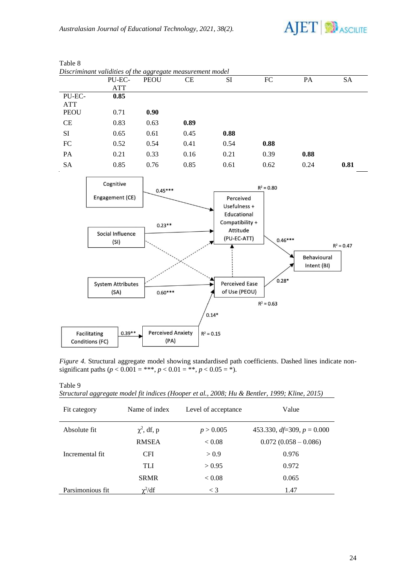

|             | Discriminani valialites of the aggregate measurement model<br>PU-EC- | <b>PEOU</b>              | <b>CE</b>    | SI                          | ${\rm FC}$   | PA          | <b>SA</b>    |
|-------------|----------------------------------------------------------------------|--------------------------|--------------|-----------------------------|--------------|-------------|--------------|
|             | <b>ATT</b>                                                           |                          |              |                             |              |             |              |
| PU-EC-      | 0.85                                                                 |                          |              |                             |              |             |              |
| <b>ATT</b>  |                                                                      |                          |              |                             |              |             |              |
| <b>PEOU</b> | 0.71                                                                 | 0.90                     |              |                             |              |             |              |
| CE          | 0.83                                                                 | 0.63                     | 0.89         |                             |              |             |              |
| SI          | 0.65                                                                 | 0.61                     | 0.45         | 0.88                        |              |             |              |
| ${\rm FC}$  | 0.52                                                                 | 0.54                     | 0.41         | 0.54                        | 0.88         |             |              |
| PA          | 0.21                                                                 | 0.33                     | 0.16         | 0.21                        | 0.39         | 0.88        |              |
| <b>SA</b>   | 0.85                                                                 | 0.76                     | 0.85         | 0.61                        | 0.62         | 0.24        | 0.81         |
|             | Cognitive                                                            |                          |              |                             |              |             |              |
|             |                                                                      | $0.45***$                |              |                             | $R^2 = 0.80$ |             |              |
|             | Engagement (CE)                                                      |                          |              | Perceived                   |              |             |              |
|             |                                                                      |                          |              | Usefulness +                |              |             |              |
|             |                                                                      |                          |              | Educational                 |              |             |              |
|             |                                                                      | $0.23**$                 |              | Compatibility +<br>Attitude |              |             |              |
|             | Social Influence                                                     |                          |              | (PU-EC-ATT)                 | $0.46***$    |             |              |
|             | (SI)                                                                 |                          |              |                             |              |             | $R^2 = 0.47$ |
|             |                                                                      |                          |              |                             |              | Behavioural |              |
|             |                                                                      |                          |              |                             |              | Intent (BI) |              |
|             |                                                                      |                          |              |                             |              |             |              |
|             | <b>System Attributes</b>                                             |                          |              | <b>Perceived Ease</b>       | $0.28*$      |             |              |
|             | (SA)                                                                 | $0.60***$                |              | of Use (PEOU)               |              |             |              |
|             |                                                                      |                          |              |                             | $R^2 = 0.63$ |             |              |
|             |                                                                      |                          | $0.14*$      |                             |              |             |              |
|             |                                                                      |                          |              |                             |              |             |              |
|             | $0.39**$<br>Facilitating                                             | <b>Perceived Anxiety</b> | $R^2 = 0.15$ |                             |              |             |              |
|             | <b>Conditions (FC)</b>                                               | (PA)                     |              |                             |              |             |              |

Table 8 *Discriminant validities of the aggregate measurement model*

*Figure 4.* Structural aggregate model showing standardised path coefficients. Dashed lines indicate nonsignificant paths ( $p < 0.001 =$ \*\*\*,  $p < 0.01 =$ \*\*,  $p < 0.05 =$ \*).

Table 9

|  | Structural aggregate model fit indices (Hooper et al., 2008; Hu & Bentler, 1999; Kline, 2015) |  |  |  |  |  |  |
|--|-----------------------------------------------------------------------------------------------|--|--|--|--|--|--|
|--|-----------------------------------------------------------------------------------------------|--|--|--|--|--|--|

| Fit category     | Name of index    | Level of acceptance | Value                           |
|------------------|------------------|---------------------|---------------------------------|
| Absolute fit     | $\chi^2$ , df, p | p > 0.005           | 453.330, $df=309$ , $p = 0.000$ |
|                  | <b>RMSEA</b>     | ${}_{< 0.08}$       | $0.072(0.058 - 0.086)$          |
| Incremental fit  | <b>CFI</b>       | > 0.9               | 0.976                           |
|                  | TLI              | > 0.95              | 0.972                           |
|                  | <b>SRMR</b>      | < 0.08              | 0.065                           |
| Parsimonious fit | $\chi^2/df$      | $\leq 3$            | 1.47                            |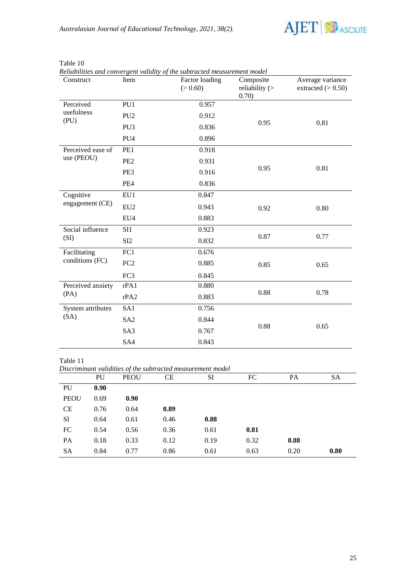

| Construct                       | Item            | Factor loading<br>(> 0.60) | Composite<br>reliability $($<br>0.70) | Average variance<br>extracted $(> 0.50)$ |
|---------------------------------|-----------------|----------------------------|---------------------------------------|------------------------------------------|
| Perceived                       | PU1             | 0.957                      |                                       |                                          |
| usefulness<br>(PU)              | PU <sub>2</sub> | 0.912                      |                                       |                                          |
|                                 | PU <sub>3</sub> | 0.836                      | 0.95                                  | 0.81                                     |
|                                 | PU <sub>4</sub> | 0.896                      |                                       |                                          |
| Perceived ease of<br>use (PEOU) | PE1             | 0.918                      |                                       |                                          |
|                                 | PE <sub>2</sub> | 0.931                      |                                       |                                          |
|                                 | PE3             | 0.916                      | 0.95                                  | 0.81                                     |
|                                 | PE4             | 0.836                      |                                       |                                          |
| Cognitive<br>engagement (CE)    | EU1             | 0.847                      |                                       |                                          |
|                                 | EU <sub>2</sub> | 0.943                      | 0.92                                  | 0.80                                     |
|                                 | EU4             | 0.883                      |                                       |                                          |
| Social influence                | SI1             | 0.923                      |                                       |                                          |
| (SI)                            | SI <sub>2</sub> | 0.832                      | 0.87                                  | 0.77                                     |
| Facilitating                    | FC1             | 0.676                      |                                       |                                          |
| conditions (FC)                 | FC <sub>2</sub> | 0.885                      | 0.85                                  | 0.65                                     |
|                                 | FC3             | 0.845                      |                                       |                                          |
| Perceived anxiety               | rPA1            | 0.880                      |                                       |                                          |
| (PA)                            | rPA2            | 0.883                      | 0.88                                  | 0.78                                     |
| System attributes               | SA1             | 0.756                      |                                       |                                          |
| (SA)                            | SA <sub>2</sub> | 0.844                      |                                       |                                          |
|                                 | SA3             | 0.767                      | 0.88                                  | 0.65                                     |
|                                 | SA4             | 0.843                      |                                       |                                          |

Table 10<br>Reliabilities *Reliabilities and convergent validity of the subtracted measurement model*

*Discriminant validities of the subtracted measurement model* PU PEOU CE SI FC PA SA PU **0.90**

| IU.       | V.ZV |      |      |      |      |      |      |
|-----------|------|------|------|------|------|------|------|
| PEOU      | 0.69 | 0.90 |      |      |      |      |      |
| CE        | 0.76 | 0.64 | 0.89 |      |      |      |      |
| SI        | 0.64 | 0.61 | 0.46 | 0.88 |      |      |      |
| FC        | 0.54 | 0.56 | 0.36 | 0.61 | 0.81 |      |      |
| <b>PA</b> | 0.18 | 0.33 | 0.12 | 0.19 | 0.32 | 0.88 |      |
| <b>SA</b> | 0.84 | 0.77 | 0.86 | 0.61 | 0.63 | 0.20 | 0.80 |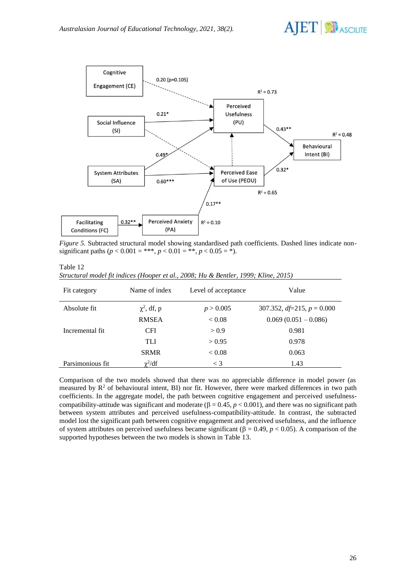



*Figure 5.* Subtracted structural model showing standardised path coefficients. Dashed lines indicate nonsignificant paths ( $p < 0.001 =$ \*\*\*,  $p < 0.01 =$ \*\*,  $p < 0.05 =$ \*).

| able |  |
|------|--|
|      |  |

| Structural model fit indices (Hooper et al., 2008; Hu & Bentler, 1999; Kline, 2015) |  |  |  |  |  |  |
|-------------------------------------------------------------------------------------|--|--|--|--|--|--|
|-------------------------------------------------------------------------------------|--|--|--|--|--|--|

| Fit category     | Name of index    | Level of acceptance | Value                           |
|------------------|------------------|---------------------|---------------------------------|
| Absolute fit     | $\chi^2$ , df, p | p > 0.005           | 307.352, $df=215$ , $p = 0.000$ |
|                  | <b>RMSEA</b>     | < 0.08              | $0.069(0.051-0.086)$            |
| Incremental fit  | <b>CFI</b>       | > 0.9               | 0.981                           |
|                  | TLI              | > 0.95              | 0.978                           |
|                  | <b>SRMR</b>      | < 0.08              | 0.063                           |
| Parsimonious fit | $\chi^2/df$      | $\lt$ 3             | 1.43                            |

Comparison of the two models showed that there was no appreciable difference in model power (as measured by  $\mathbb{R}^2$  of behavioural intent. BI) nor fit. However, there were marked differences in two path coefficients. In the aggregate model, the path between cognitive engagement and perceived usefulnesscompatibility-attitude was significant and moderate ( $\beta = 0.45$ ,  $p < 0.001$ ), and there was no significant path between system attributes and perceived usefulness-compatibility-attitude. In contrast, the subtracted model lost the significant path between cognitive engagement and perceived usefulness, and the influence of system attributes on perceived usefulness became significant  $( \beta = 0.49, p < 0.05)$ . A comparison of the supported hypotheses between the two models is shown in Table 13.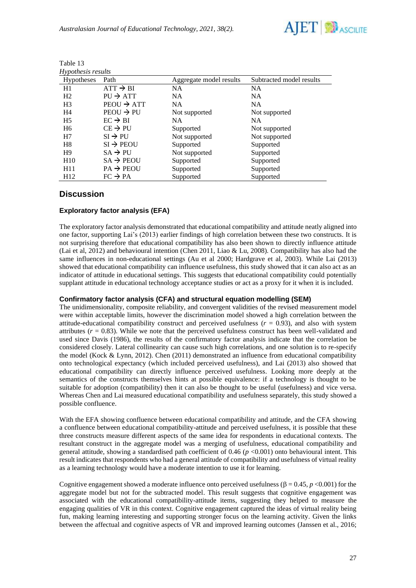

| Hypothesis results |                        |                         |                          |  |
|--------------------|------------------------|-------------------------|--------------------------|--|
| Hypotheses         | Path                   | Aggregate model results | Subtracted model results |  |
| H1                 | $ATT \rightarrow BI$   | <b>NA</b>               | NA                       |  |
| H <sub>2</sub>     | $PU \rightarrow ATT$   | <b>NA</b>               | <b>NA</b>                |  |
| H <sub>3</sub>     | $PEOU \rightarrow ATT$ | <b>NA</b>               | <b>NA</b>                |  |
| H <sub>4</sub>     | $PEOU \rightarrow PU$  | Not supported           | Not supported            |  |
| H <sub>5</sub>     | $EC \rightarrow BI$    | <b>NA</b>               | <b>NA</b>                |  |
| H <sub>6</sub>     | $CE \rightarrow PU$    | Supported               | Not supported            |  |
| H7                 | $SI \rightarrow PU$    | Not supported           | Not supported            |  |
| H <sub>8</sub>     | $SI \rightarrow PEOU$  | Supported               | Supported                |  |
| H <sub>9</sub>     | $SA \rightarrow PU$    | Not supported           | Supported                |  |
| H10                | $SA \rightarrow PEOU$  | Supported               | Supported                |  |
| H11                | $PA \rightarrow PEOU$  | Supported               | Supported                |  |
| H <sub>12</sub>    | $FC \rightarrow PA$    | Supported               | Supported                |  |

| Table 13 |  |
|----------|--|
|          |  |

### **Discussion**

#### **Exploratory factor analysis (EFA)**

The exploratory factor analysis demonstrated that educational compatibility and attitude neatly aligned into one factor, supporting Lai's (2013) earlier findings of high correlation between these two constructs. It is not surprising therefore that educational compatibility has also been shown to directly influence attitude (Lai et al, 2012) and behavioural intention (Chen 2011, Liao & Lu, 2008). Compatibility has also had the same influences in non-educational settings (Au et al 2000; Hardgrave et al, 2003). While Lai (2013) showed that educational compatibility can influence usefulness, this study showed that it can also act as an indicator of attitude in educational settings. This suggests that educational compatibility could potentially supplant attitude in educational technology acceptance studies or act as a proxy for it when it is included.

#### **Confirmatory factor analysis (CFA) and structural equation modelling (SEM)**

The unidimensionality, composite reliability, and convergent validities of the revised measurement model were within acceptable limits, however the discrimination model showed a high correlation between the attitude-educational compatibility construct and perceived usefulness  $(r = 0.93)$ , and also with system attributes  $(r = 0.83)$ . While we note that the perceived usefulness construct has been well-validated and used since Davis (1986), the results of the confirmatory factor analysis indicate that the correlation be considered closely. Lateral collinearity can cause such high correlations, and one solution is to re-specify the model (Kock & Lynn, 2012). Chen (2011) demonstrated an influence from educational compatibility onto technological expectancy (which included perceived usefulness), and Lai (2013) also showed that educational compatibility can directly influence perceived usefulness. Looking more deeply at the semantics of the constructs themselves hints at possible equivalence: if a technology is thought to be suitable for adoption (compatibility) then it can also be thought to be useful (usefulness) and vice versa. Whereas Chen and Lai measured educational compatibility and usefulness separately, this study showed a possible confluence.

With the EFA showing confluence between educational compatibility and attitude, and the CFA showing a confluence between educational compatibility-attitude and perceived usefulness, it is possible that these three constructs measure different aspects of the same idea for respondents in educational contexts. The resultant construct in the aggregate model was a merging of usefulness, educational compatibility and general attitude, showing a standardised path coefficient of  $0.46$  ( $p < 0.001$ ) onto behavioural intent. This result indicates that respondents who had a general attitude of compatibility and usefulness of virtual reality as a learning technology would have a moderate intention to use it for learning.

Cognitive engagement showed a moderate influence onto perceived usefulness ( $\beta = 0.45$ ,  $p < 0.001$ ) for the aggregate model but not for the subtracted model. This result suggests that cognitive engagement was associated with the educational compatibility-attitude items, suggesting they helped to measure the engaging qualities of VR in this context. Cognitive engagement captured the ideas of virtual reality being fun, making learning interesting and supporting stronger focus on the learning activity. Given the links between the affectual and cognitive aspects of VR and improved learning outcomes (Janssen et al., 2016;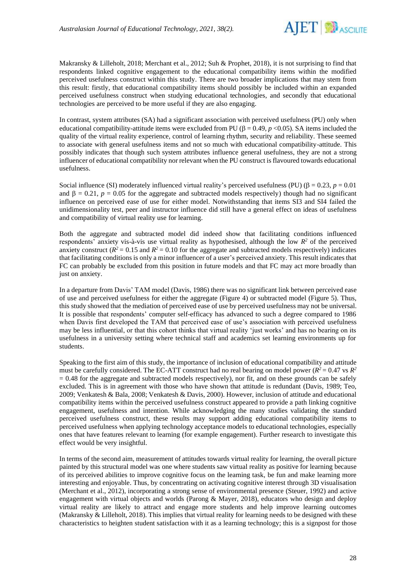

Makransky & Lilleholt, 2018; Merchant et al., 2012; Suh & Prophet, 2018), it is not surprising to find that respondents linked cognitive engagement to the educational compatibility items within the modified perceived usefulness construct within this study. There are two broader implications that may stem from this result: firstly, that educational compatibility items should possibly be included within an expanded perceived usefulness construct when studying educational technologies, and secondly that educational technologies are perceived to be more useful if they are also engaging.

In contrast, system attributes (SA) had a significant association with perceived usefulness (PU) only when educational compatibility-attitude items were excluded from PU ( $\beta = 0.49$ ,  $p < 0.05$ ). SA items included the quality of the virtual reality experience, control of learning rhythm, security and reliability. These seemed to associate with general usefulness items and not so much with educational compatibility-attitude. This possibly indicates that though such system attributes influence general usefulness, they are not a strong influencer of educational compatibility nor relevant when the PU construct is flavoured towards educational usefulness.

Social influence (SI) moderately influenced virtual reality's perceived usefulness (PU) ( $\beta = 0.23$ ,  $p = 0.01$ and  $\beta = 0.21$ ,  $p = 0.05$  for the aggregate and subtracted models respectively) though had no significant influence on perceived ease of use for either model. Notwithstanding that items SI3 and SI4 failed the unidimensionality test, peer and instructor influence did still have a general effect on ideas of usefulness and compatibility of virtual reality use for learning.

Both the aggregate and subtracted model did indeed show that facilitating conditions influenced respondents' anxiety vis-à-vis use virtual reality as hypothesised, although the low  $R^2$  of the perceived anxiety construct ( $R^2 = 0.15$  and  $R^2 = 0.10$  for the aggregate and subtracted models respectively) indicates that facilitating conditions is only a minor influencer of a user's perceived anxiety. This result indicates that FC can probably be excluded from this position in future models and that FC may act more broadly than just on anxiety.

In a departure from Davis' TAM model (Davis, 1986) there was no significant link between perceived ease of use and perceived usefulness for either the aggregate (Figure 4) or subtracted model (Figure 5). Thus, this study showed that the mediation of perceived ease of use by perceived usefulness may not be universal. It is possible that respondents' computer self-efficacy has advanced to such a degree compared to 1986 when Davis first developed the TAM that perceived ease of use's association with perceived usefulness may be less influential, or that this cohort thinks that virtual reality 'just works' and has no bearing on its usefulness in a university setting where technical staff and academics set learning environments up for students.

Speaking to the first aim of this study, the importance of inclusion of educational compatibility and attitude must be carefully considered. The EC-ATT construct had no real bearing on model power ( $R^2 = 0.47$  vs  $R^2$  $= 0.48$  for the aggregate and subtracted models respectively), nor fit, and on these grounds can be safely excluded. This is in agreement with those who have shown that attitude is redundant (Davis, 1989; Teo, 2009; Venkatesh & Bala, 2008; Venkatesh & Davis, 2000). However, inclusion of attitude and educational compatibility items within the perceived usefulness construct appeared to provide a path linking cognitive engagement, usefulness and intention. While acknowledging the many studies validating the standard perceived usefulness construct, these results may support adding educational compatibility items to perceived usefulness when applying technology acceptance models to educational technologies, especially ones that have features relevant to learning (for example engagement). Further research to investigate this effect would be very insightful.

In terms of the second aim, measurement of attitudes towards virtual reality for learning, the overall picture painted by this structural model was one where students saw virtual reality as positive for learning because of its perceived abilities to improve cognitive focus on the learning task, be fun and make learning more interesting and enjoyable. Thus, by concentrating on activating cognitive interest through 3D visualisation (Merchant et al., 2012), incorporating a strong sense of environmental presence (Steuer, 1992) and active engagement with virtual objects and worlds (Parong & Mayer, 2018), educators who design and deploy virtual reality are likely to attract and engage more students and help improve learning outcomes (Makransky & Lilleholt, 2018). This implies that virtual reality for learning needs to be designed with these characteristics to heighten student satisfaction with it as a learning technology; this is a signpost for those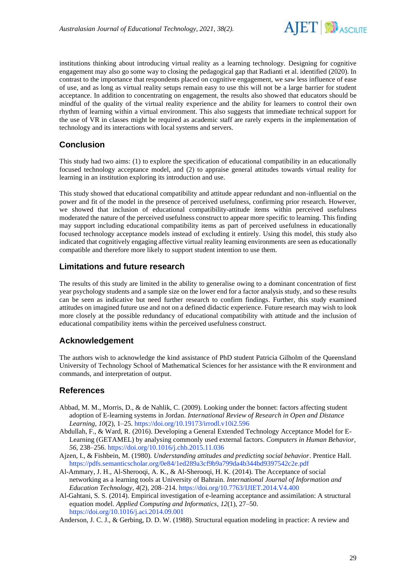

institutions thinking about introducing virtual reality as a learning technology. Designing for cognitive engagement may also go some way to closing the pedagogical gap that Radianti et al. identified (2020). In contrast to the importance that respondents placed on cognitive engagement, we saw less influence of ease of use, and as long as virtual reality setups remain easy to use this will not be a large barrier for student acceptance. In addition to concentrating on engagement, the results also showed that educators should be mindful of the quality of the virtual reality experience and the ability for learners to control their own rhythm of learning within a virtual environment. This also suggests that immediate technical support for the use of VR in classes might be required as academic staff are rarely experts in the implementation of technology and its interactions with local systems and servers.

## **Conclusion**

This study had two aims: (1) to explore the specification of educational compatibility in an educationally focused technology acceptance model, and (2) to appraise general attitudes towards virtual reality for learning in an institution exploring its introduction and use.

This study showed that educational compatibility and attitude appear redundant and non-influential on the power and fit of the model in the presence of perceived usefulness, confirming prior research. However, we showed that inclusion of educational compatibility-attitude items within perceived usefulness moderated the nature of the perceived usefulness construct to appear more specific to learning. This finding may support including educational compatibility items as part of perceived usefulness in educationally focused technology acceptance models instead of excluding it entirely. Using this model, this study also indicated that cognitively engaging affective virtual reality learning environments are seen as educationally compatible and therefore more likely to support student intention to use them.

### **Limitations and future research**

The results of this study are limited in the ability to generalise owing to a dominant concentration of first year psychology students and a sample size on the lower end for a factor analysis study, and so these results can be seen as indicative but need further research to confirm findings. Further, this study examined attitudes on imagined future use and not on a defined didactic experience. Future research may wish to look more closely at the possible redundancy of educational compatibility with attitude and the inclusion of educational compatibility items within the perceived usefulness construct.

### **Acknowledgement**

The authors wish to acknowledge the kind assistance of PhD student Patricia Gilholm of the Queensland University of Technology School of Mathematical Sciences for her assistance with the R environment and commands, and interpretation of output.

### **References**

- Abbad, M. M., Morris, D., & de Nahlik, C. (2009). Looking under the bonnet: factors affecting student adoption of E-learning systems in Jordan. *International Review of Research in Open and Distance Learning*, *10*(2), 1–25[. https://doi.org/10.19173/irrodl.v10i2.596](https://doi.org/10.19173/irrodl.v10i2.596)
- Abdullah, F., & Ward, R. (2016). Developing a General Extended Technology Acceptance Model for E-Learning (GETAMEL) by analysing commonly used external factors. *Computers in Human Behavior*, *56*, 238–256.<https://doi.org/10.1016/j.chb.2015.11.036>
- Ajzen, I., & Fishbein, M. (1980). *Understanding attitudes and predicting social behavior*. Prentice Hall. <https://pdfs.semanticscholar.org/0e84/1ed289a3cf9b9a799da4b344bd9397542c2e.pdf>
- Al-Ammary, J. H., Al-Sherooqi, A. K., & Al-Sherooqi, H. K. (2014). The Acceptance of social networking as a learning tools at University of Bahrain. *International Journal of Information and Education Technology*, *4*(2), 208–214.<https://doi.org/10.7763/IJIET.2014.V4.400>
- Al-Gahtani, S. S. (2014). Empirical investigation of e-learning acceptance and assimilation: A structural equation model. *Applied Computing and Informatics*, *12*(1), 27–50. <https://doi.org/10.1016/j.aci.2014.09.001>
- Anderson, J. C. J., & Gerbing, D. D. W. (1988). Structural equation modeling in practice: A review and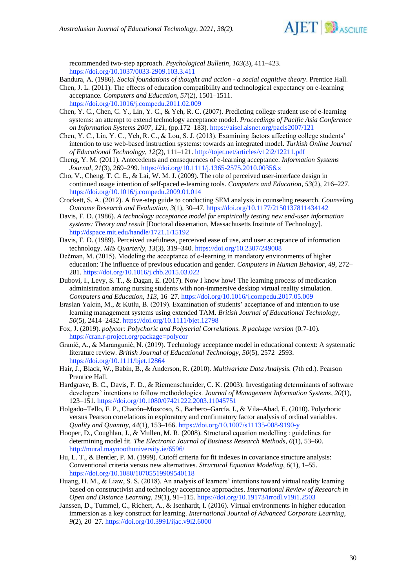

recommended two-step approach. *Psychological Bulletin*, *103*(3), 411–423. <https://doi.org/10.1037/0033-2909.103.3.411>

Bandura, A. (1986). *Social foundations of thought and action - a social cognitive theory*. Prentice Hall.

- Chen, J. L. (2011). The effects of education compatibility and technological expectancy on e-learning acceptance. *Computers and Education*, *57*(2), 1501–1511. <https://doi.org/10.1016/j.compedu.2011.02.009>
- Chen, Y. C., Chen, C. Y., Lin, Y. C., & Yeh, R. C. (2007). Predicting college student use of e-learning systems: an attempt to extend technology acceptance model. *Proceedings of Pacific Asia Conference on Information Systems 2007, 121*, (pp.172–183)[. https://aisel.aisnet.org/pacis2007/121](https://aisel.aisnet.org/pacis2007/121)
- Chen, Y. C., Lin, Y. C., Yeh, R. C., & Lou, S. J. (2013). Examining factors affecting college students' intention to use web-based instruction systems: towards an integrated model. *Turkish Online Journal of Educational Technology*, *12*(2), 111–121.<http://tojet.net/articles/v12i2/12211.pdf>
- Cheng, Y. M. (2011). Antecedents and consequences of e-learning acceptance. *Information Systems Journal*, *21*(3), 269–299.<https://doi.org/10.1111/j.1365-2575.2010.00356.x>
- Cho, V., Cheng, T. C. E., & Lai, W. M. J. (2009). The role of perceived user-interface design in continued usage intention of self-paced e-learning tools. *Computers and Education*, *53*(2), 216–227. <https://doi.org/10.1016/j.compedu.2009.01.014>
- Crockett, S. A. (2012). A five-step guide to conducting SEM analysis in counseling research. *Counseling Outcome Research and Evaluation*, *3*(1), 30–47[. https://doi.org/10.1177/2150137811434142](https://doi.org/10.1177/2150137811434142)
- Davis, F. D. (1986). *A technology acceptance model for empirically testing new end-user information systems: Theory and result* [Doctoral dissertation, Massachusetts Institute of Technology]. <http://dspace.mit.edu/handle/1721.1/15192>
- Davis, F. D. (1989). Perceived usefulness, perceived ease of use, and user acceptance of information technology. *MIS Quarterly*, *13*(3), 319–340.<https://doi.org/10.2307/249008>
- Dečman, M. (2015). Modeling the acceptance of e-learning in mandatory environments of higher education: The influence of previous education and gender. *Computers in Human Behavior*, *49*, 272– 281.<https://doi.org/10.1016/j.chb.2015.03.022>
- Dubovi, I., Levy, S. T., & Dagan, E. (2017). Now I know how! The learning process of medication administration among nursing students with non-immersive desktop virtual reality simulation. *Computers and Education*, *113*, 16–27[. https://doi.org/10.1016/j.compedu.2017.05.009](https://doi.org/10.1016/j.compedu.2017.05.009)
- Eraslan Yalcin, M., & Kutlu, B. (2019). Examination of students' acceptance of and intention to use learning management systems using extended TAM. *British Journal of Educational Technology*, *50*(5), 2414–2432.<https://doi.org/10.1111/bjet.12798>
- Fox, J. (2019). *polycor: Polychoric and Polyserial Correlations. R package version* (0.7-10). <https://cran.r-project.org/package=polycor>
- Granić, A., & Marangunić, N. (2019). Technology acceptance model in educational context: A systematic literature review. *British Journal of Educational Technology*, *50*(5), 2572–2593. [https://doi.org/10.1111/bjet.12864](https://connectqutedu-my.sharepoint.com/Users/andrewkemp/Downloads/iterature%20review.%20British%20Journal%20of%20Educational%20Technology,%2050(5),%202572–2593.%20https:/doi.org/10.1111/bjet.12864)
- Hair, J., Black, W., Babin, B., & Anderson, R. (2010). *Multivariate Data Analysis.* (7th ed.). Pearson Prentice Hall.
- Hardgrave, B. C., Davis, F. D., & Riemenschneider, C. K. (2003). Investigating determinants of software developers' intentions to follow methodologies. *Journal of Management Information Systems*, *20*(1), 123–151.<https://doi.org/10.1080/07421222.2003.11045751>
- Holgado–Tello, F. P., Chacón–Moscoso, S., Barbero–García, I., & Vila–Abad, E. (2010). Polychoric versus Pearson correlations in exploratory and confirmatory factor analysis of ordinal variables. *Quality and Quantity*, *44*(1), 153–166.<https://doi.org/10.1007/s11135-008-9190-y>
- Hooper, D., Coughlan, J., & Mullen, M. R. (2008). Structural equation modelling : guidelines for determining model fit. *The Electronic Journal of Business Research Methods*, *6*(1), 53–60. <http://mural.maynoothuniversity.ie/6596/>
- Hu, L. T., & Bentler, P. M. (1999). Cutoff criteria for fit indexes in covariance structure analysis: Conventional criteria versus new alternatives. *Structural Equation Modeling*, *6*(1), 1–55. <https://doi.org/10.1080/10705519909540118>
- Huang, H. M., & Liaw, S. S. (2018). An analysis of learners' intentions toward virtual reality learning based on constructivist and technology acceptance approaches. *International Review of Research in Open and Distance Learning*, *19*(1), 91–115.<https://doi.org/10.19173/irrodl.v19i1.2503>
- Janssen, D., Tummel, C., Richert, A., & Isenhardt, I. (2016). Virtual environments in higher education immersion as a key construct for learning. *International Journal of Advanced Corporate Learning*, *9*(2), 20–27.<https://doi.org/10.3991/ijac.v9i2.6000>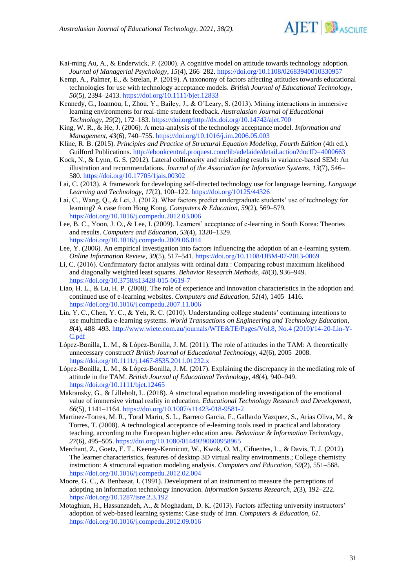

- Kai-ming Au, A., & Enderwick, P. (2000). A cognitive model on attitude towards technology adoption. *Journal of Managerial Psychology*, *15*(4), 266–282[. https://doi.org/10.1108/02683940010330957](https://doi.org/10.1108/02683940010330957)
- Kemp, A., Palmer, E., & Strelan, P. (2019). A taxonomy of factors affecting attitudes towards educational technologies for use with technology acceptance models. *British Journal of Educational Technology*, *50*(5), 2394–2413.<https://doi.org/10.1111/bjet.12833>
- Kennedy, G., Ioannou, I., Zhou, Y., Bailey, J., & O'Leary, S. (2013). Mining interactions in immersive learning environments for real-time student feedback. *Australasian Journal of Educational Technology*, *29*(2), 172–183[. https://doi.org/http://dx.doi.org/10.14742/ajet.700](https://doi.org/http:/dx.doi.org/10.14742/ajet.700)
- King, W. R., & He, J. (2006). A meta-analysis of the technology acceptance model. *Information and Management*, *43*(6), 740–755.<https://doi.org/10.1016/j.im.2006.05.003>
- Kline, R. B. (2015). *Principles and Practice of Structural Equation Modeling, Fourth Edition* (4th ed.). Guilford Publications[. http://ebookcentral.proquest.com/lib/adelaide/detail.action?docID=4000663](http://ebookcentral.proquest.com/lib/adelaide/detail.action?docID=4000663)
- Kock, N., & Lynn, G. S. (2012). Lateral collinearity and misleading results in variance-based SEM: An illustration and recommendations. *Journal of the Association for Information Systems*, *13*(7), 546– 580.<https://doi.org/10.17705/1jais.00302>
- Lai, C. (2013). A framework for developing self-directed technology use for language learning. *Language Learning and Technology*, *17*(2), 100–122.<https://doi.org/10125/44326>
- Lai, C., Wang, Q., & Lei, J. (2012). What factors predict undergraduate students' use of technology for learning? A case from Hong Kong. *Computers & Education*, *59*(2), 569–579. <https://doi.org/10.1016/j.compedu.2012.03.006>
- Lee, B. C., Yoon, J. O., & Lee, I. (2009). Learners' acceptance of e-learning in South Korea: Theories and results. *Computers and Education*, *53*(4), 1320–1329. <https://doi.org/10.1016/j.compedu.2009.06.014>
- Lee, Y. (2006). An empirical investigation into factors influencing the adoption of an e-learning system. *Online Information Review*, *30*(5), 517–541.<https://doi.org/10.1108/IJBM-07-2013-0069>
- Li, C. (2016). Confirmatory factor analysis with ordinal data : Comparing robust maximum likelihood and diagonally weighted least squares. *Behavior Research Methods*, *48*(3), 936–949. <https://doi.org/10.3758/s13428-015-0619-7>
- Liao, H. L., & Lu, H. P. (2008). The role of experience and innovation characteristics in the adoption and continued use of e-learning websites. *Computers and Education*, *51*(4), 1405–1416. <https://doi.org/10.1016/j.compedu.2007.11.006>
- Lin, Y. C., Chen, Y. C., & Yeh, R. C. (2010). Understanding college students' continuing intentions to use multimedia e-learning systems. *World Transactions on Engineering and Technology Education*, *8*(4), 488–493. [http://www.wiete.com.au/journals/WTE&TE/Pages/Vol.8, No.4 \(2010\)/14-20-Lin-Y-](http://www.wiete.com.au/journals/WTE&TE/Pages/Vol.8,%20No.4%20(2010)/14-20-Lin-Y-C.pdf)[C.pdf](http://www.wiete.com.au/journals/WTE&TE/Pages/Vol.8,%20No.4%20(2010)/14-20-Lin-Y-C.pdf)
- López-Bonilla, L. M., & López-Bonilla, J. M. (2011). The role of attitudes in the TAM: A theoretically unnecessary construct? *British Journal of Educational Technology*, *42*(6), 2005–2008. <https://doi.org/10.1111/j.1467-8535.2011.01232.x>
- López-Bonilla, L. M., & López-Bonilla, J. M. (2017). Explaining the discrepancy in the mediating role of attitude in the TAM. *British Journal of Educational Technology*, *48*(4), 940–949. <https://doi.org/10.1111/bjet.12465>
- Makransky, G., & Lilleholt, L. (2018). A structural equation modeling investigation of the emotional value of immersive virtual reality in education. *Educational Technology Research and Development*, *66*(5), 1141–1164.<https://doi.org/10.1007/s11423-018-9581-2>
- Martinez-Torres, M. R., Toral Marin, S. L., Barrero Garcia, F., Gallardo Vazquez, S., Arias Oliva, M., & Torres, T. (2008). A technological acceptance of e-learning tools used in practical and laboratory teaching, according to the European higher education area. *Behaviour & Information Technology*, *27*(6), 495–505.<https://doi.org/10.1080/01449290600958965>
- Merchant, Z., Goetz, E. T., Keeney-Kennicutt, W., Kwok, O. M., Cifuentes, L., & Davis, T. J. (2012). The learner characteristics, features of desktop 3D virtual reality environments.; College chemistry instruction: A structural equation modeling analysis. *Computers and Education*, *59*(2), 551–568. <https://doi.org/10.1016/j.compedu.2012.02.004>
- Moore, G. C., & Benbasat, I. (1991). Development of an instrument to measure the perceptions of adopting an information technology innovation. *Information Systems Research*, *2*(3), 192–222. <https://doi.org/10.1287/isre.2.3.192>
- Motaghian, H., Hassanzadeh, A., & Moghadam, D. K. (2013). Factors affecting university instructors' adoption of web-based learning systems: Case study of Iran. *Computers & Education*, *61*. <https://doi.org/10.1016/j.compedu.2012.09.016>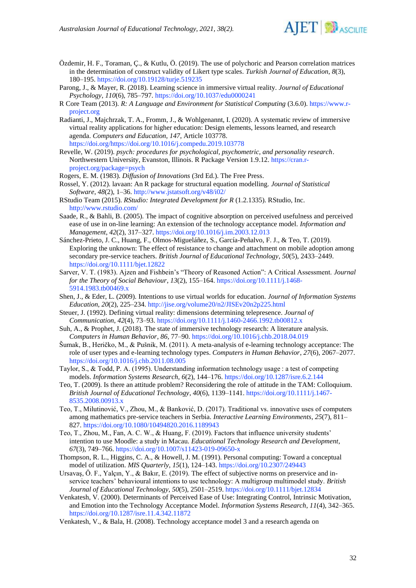

- Özdemir, H. F., Toraman, Ç., & Kutlu, Ö. (2019). The use of polychoric and Pearson correlation matrices in the determination of construct validity of Likert type scales. *Turkish Journal of Education*, *8*(3), 180–195.<https://doi.org/10.19128/turje.519235>
- Parong, J., & Mayer, R. (2018). Learning science in immersive virtual reality. *Journal of Educational Psychology*, *110*(6), 785–797.<https://doi.org/10.1037/edu0000241>
- R Core Team (2013). *R: A Language and Environment for Statistical Computing* (3.6.0). [https://www.r](https://www.r-project.org/)[project.org](https://www.r-project.org/)
- Radianti, J., Majchrzak, T. A., Fromm, J., & Wohlgenannt, I. (2020). A systematic review of immersive virtual reality applications for higher education: Design elements, lessons learned, and research agenda. *Computers and Education*, *147*, Article 103778. [https://doi.org/https://doi.org/10.1016/j.compedu.2019.103778](https://doi.org/https:/doi.org/10.1016/j.compedu.2019.103778)
- Revelle, W. (2019). *psych: procedures for psychological, psychometric, and personality research*. Northwestern University, Evanston, Illinois. R Package Version 1.9.12. [https://cran.r](https://cran.r-project.org/package=psych)[project.org/package=psych](https://cran.r-project.org/package=psych)
- Rogers, E. M. (1983). *Diffusion of Innovations* (3rd Ed.). The Free Press.
- Rossel, Y. (2012). lavaan: An R package for structural equation modelling. *Journal of Statistical Software*, *48*(2), 1–36[. http://www.jstatsoft.org/v48/i02/](http://www.jstatsoft.org/v48/i02/)
- RStudio Team (2015). *RStudio: Integrated Development for R* (1.2.1335). RStudio, Inc. <http://www.rstudio.com/>
- Saade, R., & Bahli, B. (2005). The impact of cognitive absorption on perceived usefulness and perceived ease of use in on-line learning: An extension of the technology acceptance model. *Information and Management*, *42*(2), 317–327.<https://doi.org/10.1016/j.im.2003.12.013>
- Sánchez-Prieto, J. C., Huang, F., Olmos-Migueláñez, S., García-Peñalvo, F. J., & Teo, T. (2019). Exploring the unknown: The effect of resistance to change and attachment on mobile adoption among secondary pre-service teachers. *British Journal of Educational Technology*, *50*(5), 2433–2449. <https://doi.org/10.1111/bjet.12822>
- Sarver, V. T. (1983). Ajzen and Fishbein's "Theory of Reasoned Action": A Critical Assessment. *Journal for the Theory of Social Behaviour*, *13*(2), 155–164. [https://doi.org/10.1111/j.1468-](https://doi.org/10.1111/j.1468-5914.1983.tb00469.x) [5914.1983.tb00469.x](https://doi.org/10.1111/j.1468-5914.1983.tb00469.x)
- Shen, J., & Eder, L. (2009). Intentions to use virtual worlds for education. *Journal of Information Systems Education*, *20*(2), 225–234.<http://jise.org/volume20/n2/JISEv20n2p225.html>
- Steuer, J. (1992). Defining virtual reality: dimensions determining telepresence. *Journal of Communication*, *42*(4), 73–93.<https://doi.org/10.1111/j.1460-2466.1992.tb00812.x>
- Suh, A., & Prophet, J. (2018). The state of immersive technology research: A literature analysis. *Computers in Human Behavior*, *86*, 77–90[. https://doi.org/10.1016/j.chb.2018.04.019](https://doi.org/10.1016/j.chb.2018.04.019)
- Šumak, B., Heričko, M., & Pušnik, M. (2011). A meta-analysis of e-learning technology acceptance: The role of user types and e-learning technology types. *Computers in Human Behavior*, *27*(6), 2067–2077. <https://doi.org/10.1016/j.chb.2011.08.005>
- Taylor, S., & Todd, P. A. (1995). Understanding information technology usage : a test of competing models. *Information Systems Research*, *6*(2), 144–176[. https://doi.org/10.1287/isre.6.2.144](https://doi.org/10.1287/isre.6.2.144)
- Teo, T. (2009). Is there an attitude problem? Reconsidering the role of attitude in the TAM: Colloquium. *British Journal of Educational Technology*, *40*(6), 1139–1141[. https://doi.org/10.1111/j.1467-](https://doi.org/10.1111/j.1467-8535.2008.00913.x) [8535.2008.00913.x](https://doi.org/10.1111/j.1467-8535.2008.00913.x)
- Teo, T., Milutinović, V., Zhou, M., & Banković, D. (2017). Traditional vs. innovative uses of computers among mathematics pre-service teachers in Serbia. *Interactive Learning Environments*, *25*(7), 811– 827.<https://doi.org/10.1080/10494820.2016.1189943>
- Teo, T., Zhou, M., Fan, A. C. W., & Huang, F. (2019). Factors that influence university students' intention to use Moodle: a study in Macau. *Educational Technology Research and Development*, *67*(3), 749–766.<https://doi.org/10.1007/s11423-019-09650-x>
- Thompson, R. L., Higgins, C. A., & Howell, J. M. (1991). Personal computing: Toward a conceptual model of utilization. *MIS Quarterly*, *15*(1), 124–143.<https://doi.org/10.2307/249443>
- Ursavaş, Ö. F., Yalçın, Y., & Bakır, E. (2019). The effect of subjective norms on preservice and inservice teachers' behavioural intentions to use technology: A multigroup multimodel study. *British Journal of Educational Technology*, *50*(5), 2501–2519.<https://doi.org/10.1111/bjet.12834>
- Venkatesh, V. (2000). Determinants of Perceived Ease of Use: Integrating Control, Intrinsic Motivation, and Emotion into the Technology Acceptance Model. *Information Systems Research*, *11*(4), 342–365. <https://doi.org/10.1287/isre.11.4.342.11872>
- Venkatesh, V., & Bala, H. (2008). Technology acceptance model 3 and a research agenda on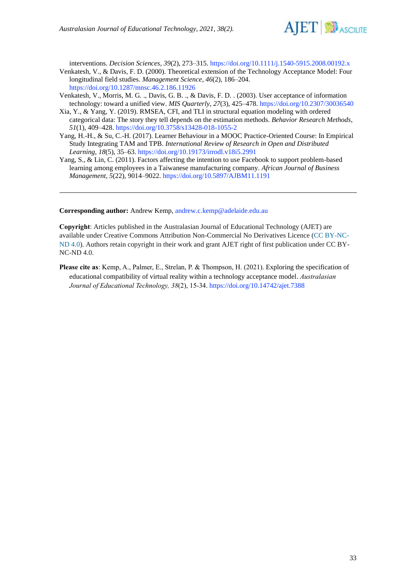

interventions. *Decision Sciences*, *39*(2), 273–315[. https://doi.org/10.1111/j.1540-5915.2008.00192.x](https://doi.org/10.1111/j.1540-5915.2008.00192.x) Venkatesh, V., & Davis, F. D. (2000). Theoretical extension of the Technology Acceptance Model: Four longitudinal field studies. *Management Science*, *46*(2), 186–204. <https://doi.org/10.1287/mnsc.46.2.186.11926>

- Venkatesh, V., Morris, M. G. ., Davis, G. B. ., & Davis, F. D. . (2003). User acceptance of information technology: toward a unified view. *MIS Quarterly*, *27*(3), 425–478[. https://doi.org/10.2307/30036540](https://doi.org/10.2307/30036540)
- Xia, Y., & Yang, Y. (2019). RMSEA, CFI, and TLI in structural equation modeling with ordered categorical data: The story they tell depends on the estimation methods. *Behavior Research Methods*, *51*(1), 409–428.<https://doi.org/10.3758/s13428-018-1055-2>
- Yang, H.-H., & Su, C.-H. (2017). Learner Behaviour in a MOOC Practice-Oriented Course: In Empirical Study Integrating TAM and TPB. *International Review of Research in Open and Distributed Learning*, *18*(5), 35–63[. https://doi.org/10.19173/irrodl.v18i5.2991](https://doi.org/10.19173/irrodl.v18i5.2991)
- Yang, S., & Lin, C. (2011). Factors affecting the intention to use Facebook to support problem-based learning among employees in a Taiwanese manufacturing company. *African Journal of Business Management*, *5*(22), 9014–9022.<https://doi.org/10.5897/AJBM11.1191>

**Corresponding author:** Andrew Kemp, [andrew.c.kemp@adelaide.edu.au](mailto:andrew.c.kemp@adelaide.edu.au)

**Copyright**: Articles published in the Australasian Journal of Educational Technology (AJET) are available under Creative Commons Attribution Non-Commercial No Derivatives Licence [\(CC BY-NC-](https://creativecommons.org/licenses/by-nc-nd/4.0/)[ND 4.0\)](https://creativecommons.org/licenses/by-nc-nd/4.0/). Authors retain copyright in their work and grant AJET right of first publication under CC BY-NC-ND 4.0.

**Please cite as**: Kemp, A., Palmer, E., Strelan, P. & Thompson, H. (2021). Exploring the specification of educational compatibility of virtual reality within a technology acceptance model. *Australasian Journal of Educational Technology, 38*(2), 15-34[. https://doi.org/10.14742/ajet.7388](https://doi.org/10.14742/ajet.7388)